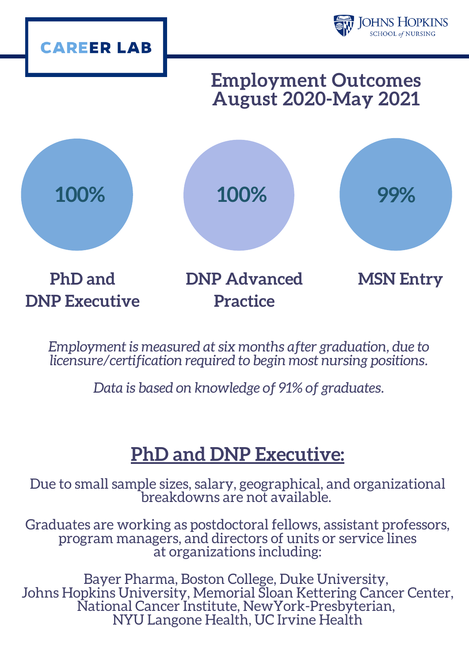

*Employment is measured at six months after graduation, due to licensure/certification required to begin most nursing positions.*

*Data is based on knowledge of 91% of graduates.*

# **PhD and DNP Executive:**

Due to small sample sizes, salary, geographical, and organizational breakdowns are not available.

Graduates are working as postdoctoral fellows, assistant professors, program managers, and directors of units or service lines at organizations including:

Bayer Pharma, Boston College, Duke University, Johns Hopkins University, Memorial Sloan Kettering Cancer Center, National Cancer Institute, NewYork-Presbyterian, NYU Langone Health, UC Irvine Health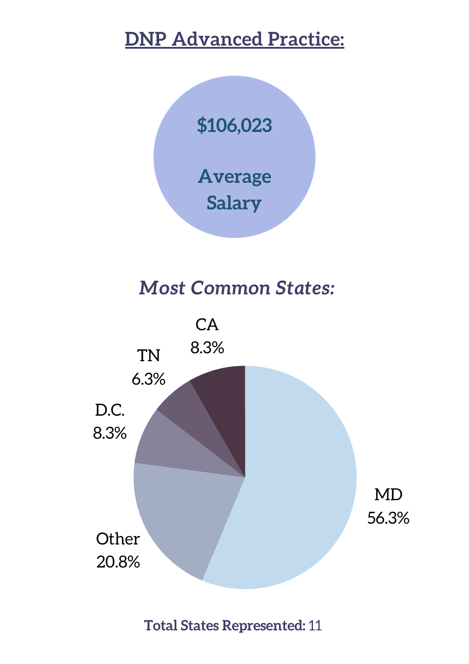# **DNP Advanced Practice:**



# *Most Common States:*



**Total States Represented:** 11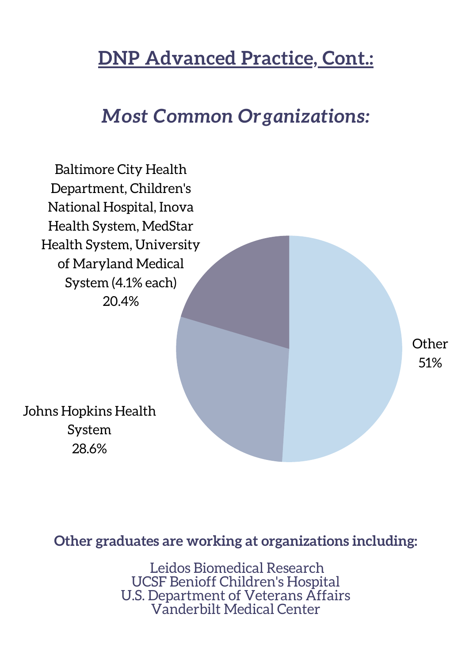### **DNP Advanced Practice, Cont.:**

### *Most Common Organizations:*



28.6%

**Other graduates are working at organizations including:**

Leidos Biomedical Research UCSF Benioff Children's Hospital U.S. Department of Veterans Affairs Vanderbilt Medical Center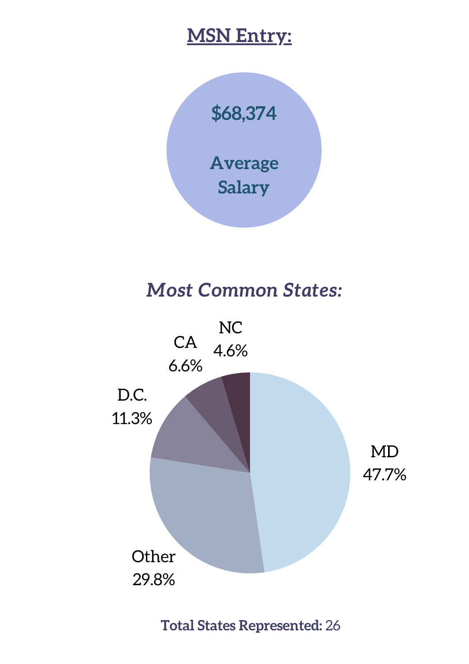#### **MSN Entry:**



#### *Most Common States:*



**Total States Represented:** 26